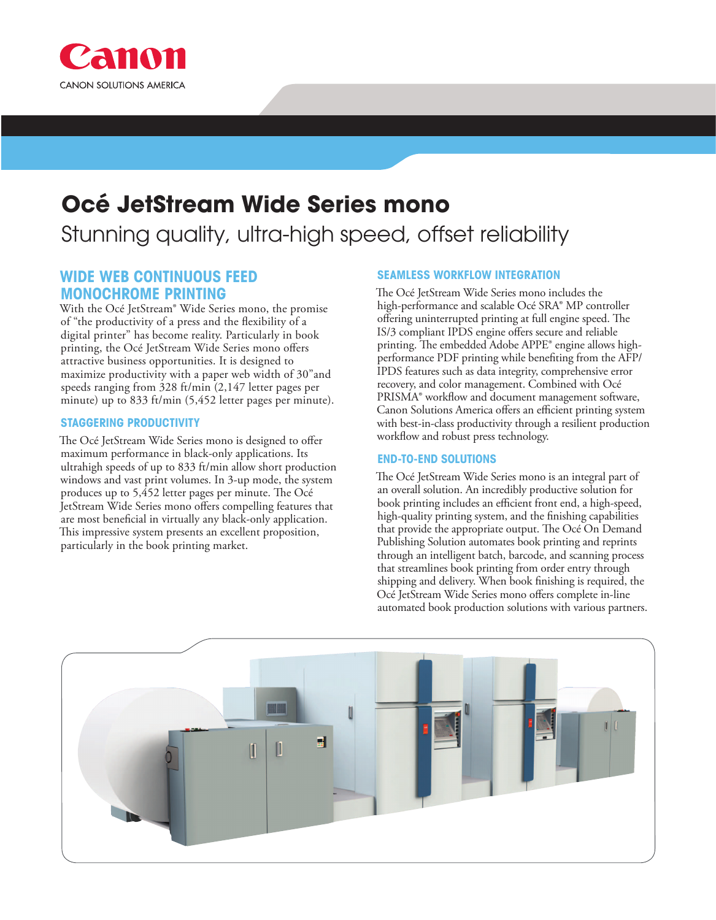

# **Océ JetStream Wide Series mono**

## Stunning quality, ultra-high speed, offset reliability

### **WIDE WEB CONTINUOUS FEED MONOCHROME PRINTING**

With the Océ JetStream® Wide Series mono, the promise of "the productivity of a press and the flexibility of a digital printer" has become reality. Particularly in book printing, the Océ JetStream Wide Series mono offers attractive business opportunities. It is designed to maximize productivity with a paper web width of 30"and speeds ranging from 328 ft/min (2,147 letter pages per minute) up to 833 ft/min (5,452 letter pages per minute).

#### **STAGGERING PRODUCTIVITY**

The Océ JetStream Wide Series mono is designed to offer maximum performance in black-only applications. Its ultrahigh speeds of up to 833 ft/min allow short production windows and vast print volumes. In 3-up mode, the system produces up to 5,452 letter pages per minute. The Océ JetStream Wide Series mono offers compelling features that are most beneficial in virtually any black-only application. This impressive system presents an excellent proposition, particularly in the book printing market.

#### **SEAMLESS WORKFLOW INTEGRATION**

The Océ JetStream Wide Series mono includes the high-performance and scalable Océ SRA® MP controller offering uninterrupted printing at full engine speed. The IS/3 compliant IPDS engine offers secure and reliable printing. The embedded Adobe APPE® engine allows highperformance PDF printing while benefiting from the AFP/ IPDS features such as data integrity, comprehensive error recovery, and color management. Combined with Océ PRISMA® workflow and document management software, Canon Solutions America offers an efficient printing system with best-in-class productivity through a resilient production workflow and robust press technology.

#### **END-TO-END SOLUTIONS**

The Océ JetStream Wide Series mono is an integral part of an overall solution. An incredibly productive solution for book printing includes an efficient front end, a high-speed, high-quality printing system, and the finishing capabilities that provide the appropriate output. The Océ On Demand Publishing Solution automates book printing and reprints through an intelligent batch, barcode, and scanning process that streamlines book printing from order entry through shipping and delivery. When book finishing is required, the Océ JetStream Wide Series mono offers complete in-line automated book production solutions with various partners.